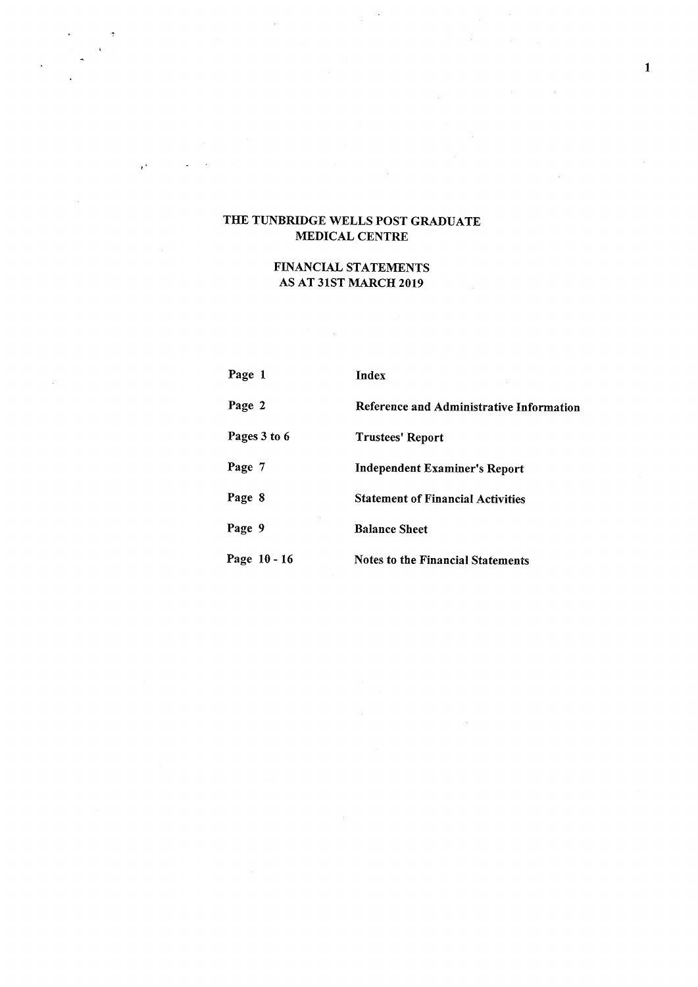$\epsilon^{\mu}$ 

# FINANCIAL STATEMENTS AS AT 31ST MARCH 2019

| Page 1       | Index                                    |
|--------------|------------------------------------------|
| Page 2       | Reference and Administrative Information |
| Pages 3 to 6 | Trustees' Report                         |
| Page 7       | <b>Independent Examiner's Report</b>     |
| Page 8       | <b>Statement of Financial Activities</b> |
| Page 9       | <b>Balance Sheet</b>                     |
| Page 10 - 16 | <b>Notes to the Financial Statements</b> |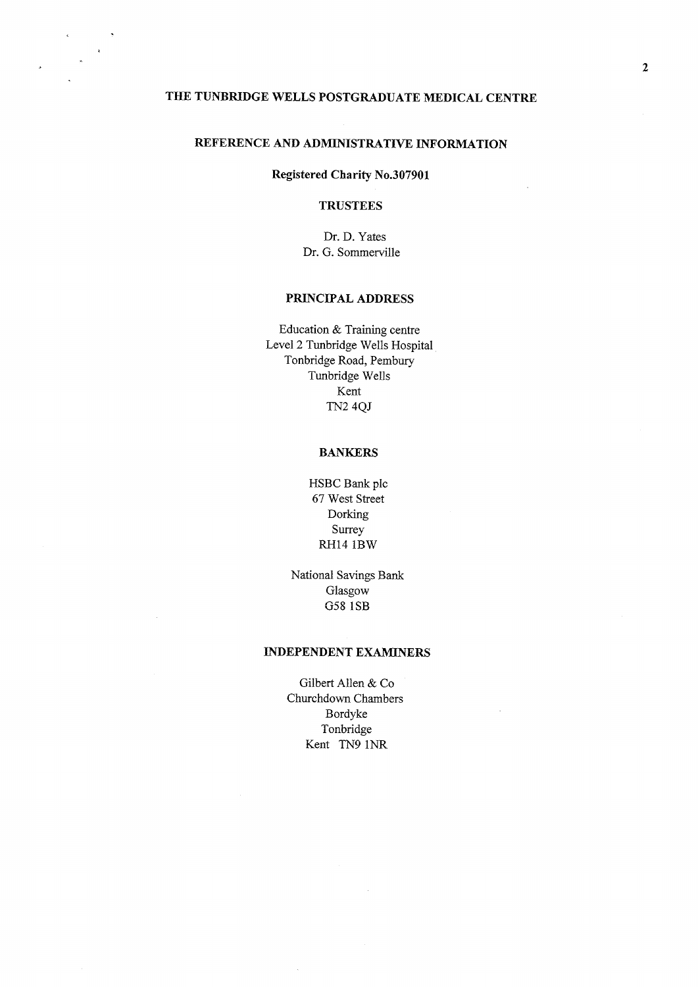### REFERENCE AND ADMINISTRATIVE INFORMATION

### Registered Charity No.307901

### **TRUSTEES**

Dr. D. Yates Dr. G. Sommerville

### PRINCIPAL ADDRESS

Education & Training centre Level 2 Tunbridge Wells Hospital Tonbridge Road, Pembury Tunbridge Wells Kent TN2 4QJ

### **BANKERS**

HSBC Bank pic 67 West Street Dorking Surrey RH14 1BW

National Savings Bank Glasgow G58 1SB

#### INDEPENDENT EXAMINERS

Gilbert Allen & Co Churchdown Chambers Bordyke Tonbridge Kent TN9 1NR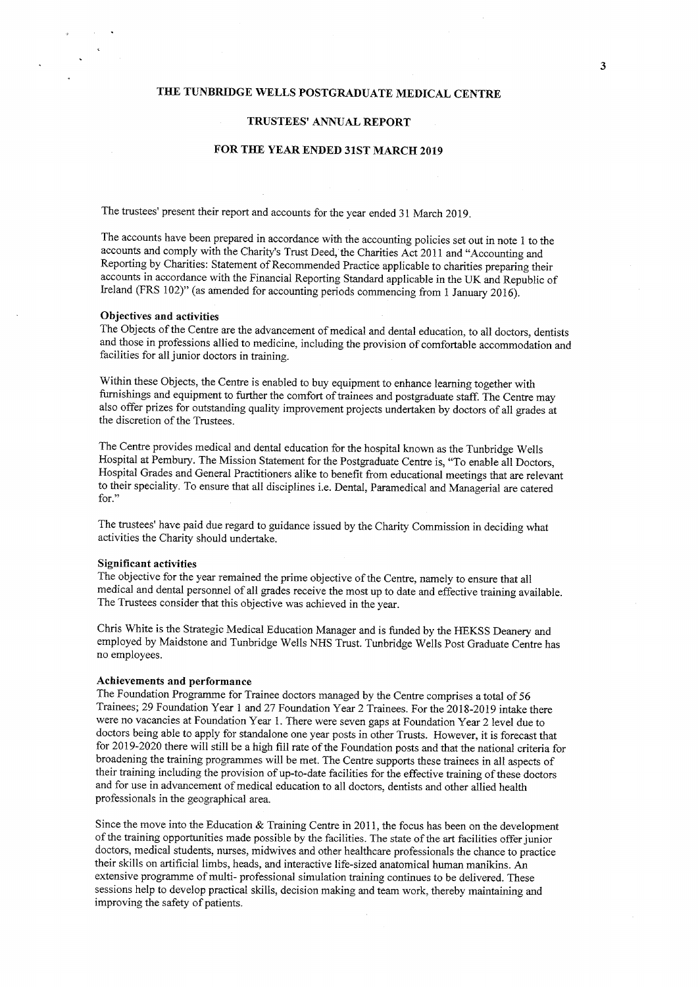#### TRUSTEES' ANNUAL REPORT

### FOR THE YEAR ENDED 31ST MARCH 2019

The trustees' present their report and accounts for the year ended 31 March 2019.

The accounts have been prepared in accordance with the accounting policies set out in note <sup>1</sup> to the accounts and comply with the Charity's Trust Deed, the Charities Act 2011 and "Accounting and Reporting by Charities: Statement of Recommended Practice applicable to charities preparing their accounts in accordance with the Financial Reporting Standard applicable in the UK and Republic of Ireland (FRS 102)" (as amended for accounting periods commencing from <sup>1</sup> January 2016).

#### Objectives and activities

The Objects of the Centre are the advancement of medical and dental education, to all doctors, dentists and those in professions allied to medicine, including the provision of comfortable accommodation and facilities for all junior doctors in training.

Within these Objects, the Centre is enabled to buy equipment to enhance learning together with furnishings and equipment to further the comfort of trainees and postgraduate staff. The Centre may also offer prizes for outstanding quality improvement projects undertaken by doctors of all grades at the discretion of the Trustees.

The Centre provides medical and dental education for the hospital known as the Tunbridge Wells Hospital at Pembury. The Mission Statement for the Postgraduate Centre is, "To enable all Doctors, Hospital Grades and General Practitioners alike to benefit from educational meetings that are relevant to their speciality. To ensure that all disciplines i.e. Dental, Paramedical and Managerial are catered<br>for."

The trustees' have paid due regard to guidance issued by the Charity Commission in deciding what activities the Charity should undertake.

#### Significant activities

The objective for the year remained the prime objective of the Centre, namely to ensure that all medical and dental personnel of all grades receive the most up to date and effective training available. The Trustees consider that this objective was achieved in the year.

Chris White is the Strategic Medical Education Manager and is funded by the HEKSS Deanery and employed by Maidstone and Tunbridge Wells NHS Trust. Tunbridge Wells Post Graduate Centre has no employees.

#### Achievements and performance

The Foundation Programme for Trainee doctors managed by the Centre comprises a total of 56 Trainees; 29 Foundation Year <sup>1</sup> and 27 Foundation Year 2 Trainees. For the 2018-2019 intake there were no vacancies at Foundation Year 1. There were seven gaps at Foundation Year 2 level due to doctors being able to apply for standalone one year posts in other Trusts. However, it is forecast that for 2019-2020 there will still be a high fill rate of the Foundation posts and that the national criteria for broadening the training programmes will be met. The Centre supports these trainees in all aspects of their training including the provision of up-to-date facilities for the effective training of these doctors and for use in advancement of medical education to all doctors, dentists and other allied health professionals in the geographical area.

Since the move into the Education  $\&$  Training Centre in 2011, the focus has been on the development ofthe training opportunities made possible by the facilities. The state ofthe art facilities offer junior doctors, medical students, nurses, midwives and other healthcare professionals the chance to practice their skills on artificial limbs, heads, and interactive life-sized anatomical human manikins. An extensive programme of multi- professional simulation training continues to be delivered. These sessions help to develop practical skills, decision making and team work, thereby maintaining and improving the safety of patients.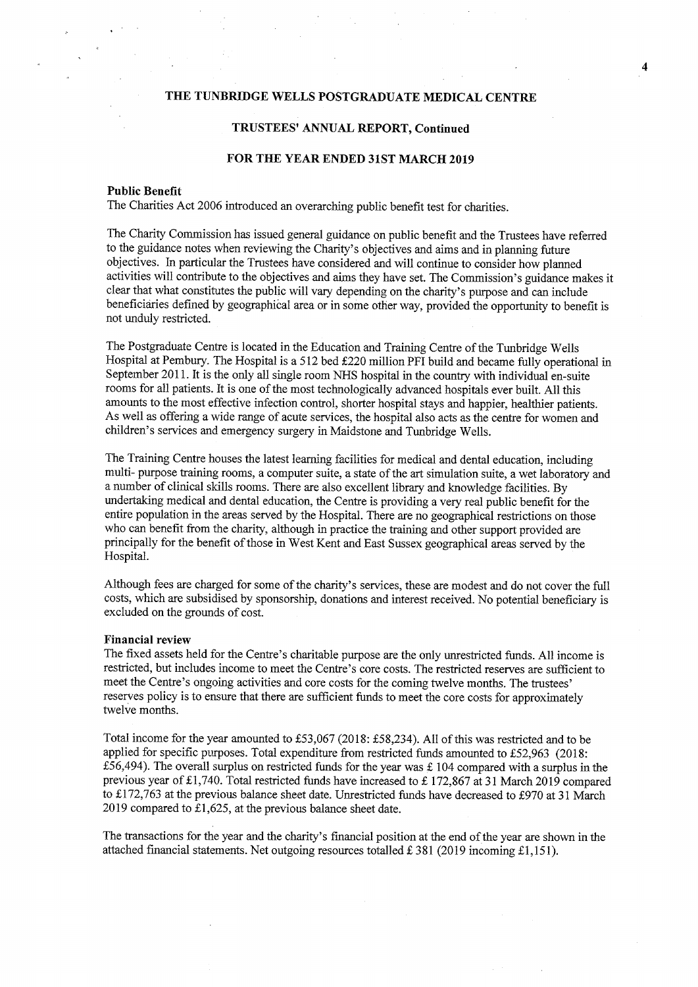### TRUSTEES' ANNUAL REPORT, Continued

# FOR THE YEAR ENDED 31ST MARCH 2019

#### Public Benefit

The Charities Act 2006 introduced an overarching public benefit test for charities.

The Charity Commission has issued general guidance on public benefit and the Trustees have referred to the guidance notes when reviewing the Charity's objectives and aims and in planning future objectives. In particular the Trustees have considered and will continue fo consider how planned activities will contribute to the objectives and aims they have set. The Commission's guidance makes it clear that what constitutes the public will vary depending on the charity's purpose and can include beneficiaries defined by geographical area or in some other way, provided the opportunity to benefit is not unduly restricted.

The Postgraduate Centre is located in the Education and Training Centre of the Tunbridge Wells Hospital at Pembury. The Hospital is a 512 bed £220 million PFI build and became fully operational in September 2011. It is the only all single room NHS hospital in the country with individual en-suite rooms for all patients. It is one of the most technologically advanced hospitals ever built. All this amounts to the most effective infection control, shorter hospital stays and happier, healthier patients. As well as offering a wide range of acute services, the hospital also acts as the centre for women and children's services and emergency surgery in Maidstone and Tunbridge Wells.

The Training Centre houses the latest learning facilities for medical and dental education, including multi- purpose training rooms, a computer suite, a state of the art simulation suite, a wet laboratory and a number of clinical skills rooms. There are also excellent library and knowledge facilities. By undertaking medical and dental education, the Centre is providing a very real public benefit for the entire population in the areas served by the Hospital. There are no geographical restrictions on those who can benefit from the charity, although in practice the training and other support provided are principally for the benefit ofthose in West Kent and East Sussex geographical areas served by the Hospital.

Although fees are charged for some of the charity's services, these are modest and do not cover the full costs, which are subsidised by sponsorship, donations and interest received. No potential beneficiary is excluded on the grounds of cost.

### Financial review

The fixed assets held ior the Centre's charitable purpose are the only unrestricted fimds. All income is restricted, but includes income to meet the Centre's core costs. The restricted reserves are sufficient to meet the Centre's ongoing activities and core costs for the coming twelve months. The trustees' reserves policy is to ensure that there are sufficient funds to meet the core costs for approximately twelve months.

Total income for the year amounted to £53,067 (2018: £58,234). All of this was restricted and to be applied for specific purposes. Total expenditure from restricted funds amounted to £52,963 (2018: £56,494). The overall surplus on restricted funds for the year was  $£ 104$  compared with a surplus in the previous year of £1,740. Total restricted funds have increased to £172,867 at 31 March 2019 compared to £172,763 at the previous balance sheet date. Unrestricted funds have decreased to £970 at 31 March 2019 compared to  $£1,625$ , at the previous balance sheet date.

The transactions for the year and the charity's financial position at the end ofthe year are shown in the attached financial statements. Net outgoing resources totalled £381 (2019 incoming £1,151).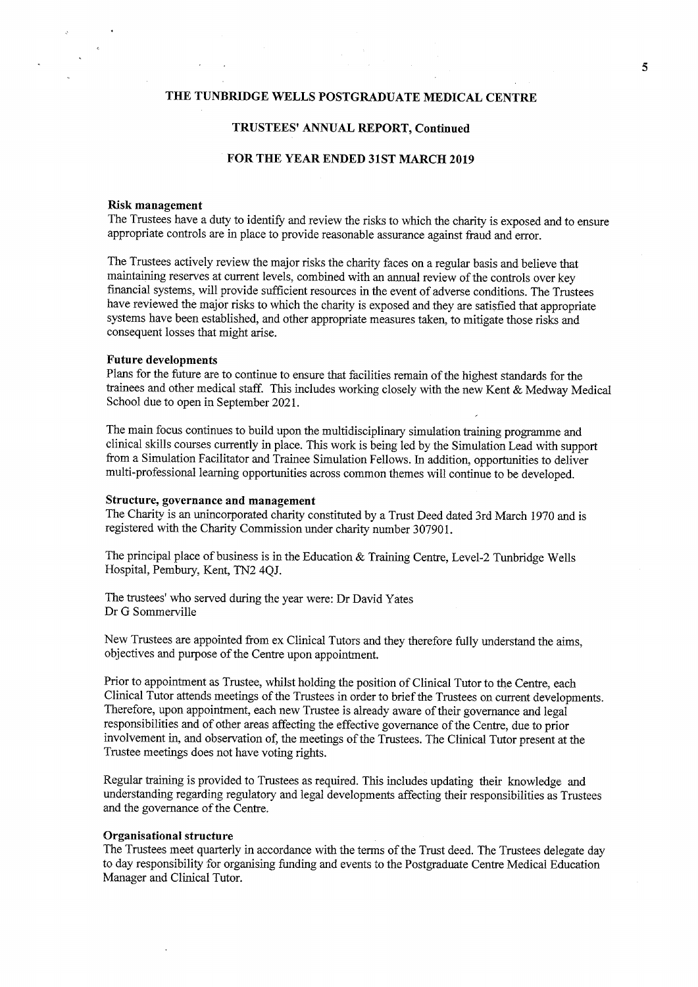### TRUSTEES' ANNUAL REPORT, Continued

### FOR THE YEAR ENDED 31ST MARCH 2019

#### Risk management

The Trustees have a duty to identify and review the risks to which the charity is exposed and to ensure appropriate controls are in place to provide reasonable assurance against fraud and error.

The Trustees actively review the major risks the charity faces on a regular basis and believe that maintaining reserves at current levels, combined with an annual review of the controls over key financial systems, will provide sufficient resources in the event of adverse conditions. The Trustees have reviewed the major risks to which the charity is exposed and they are satisfied that appropriate systems have been established, and other appropriate measures taken, to mitigate those risks and consequent losses that might arise.

### Future developments

Plans for the future are to continue to ensure that facilities remain of the highest standards for the trainees and other medical staff. This includes working closely with the new Kent & Medway Medical School due to open in September 2021.

The main focus continues to build upon the multidisciplinary simulation training programme and clinical skills courses currently in place. This work is being led by the Simulation Lead with support from a Simulation Facilitator and Trainee Simulation Fellows. In addition, opportunities to deliver multi-professional learning opportunities across common themes will continue to be developed.

#### Structure, governance and management

The Charity is an unincorporated charity constituted by a Trust Deed dated 3rd March 1970 and is registered with the Charity Commission under charity number 307901.

The principal place of business is in the Education & Training Centre, Level-2 Tunbridge Wells Hospital, Pembury, Kent, TN2 4QJ.

The trustees' who served during the year were: Dr David Yates Dr G Sommerville

New Trustees are appointed from ex Clinical Tutors and they therefore fully understand the aims, objectives and purpose of the Centre upon appointment.

Prior to appointment as Trustee, whilst holding the position of Clinical Tutor to the Centre, each Clinical Tutor attends meetings of the Trustees in order to brief the Trustees on current developments. Therefore, upon appointment, each new Trustee is already aware of their governance and legal responsibilities and of other areas affecting the effective governance ofthe Centre, due to prior involvement in, and observation of, the meetings of the Trustees. The Clinical Tutor present at the Trustee meetings does not have voting rights.

Regular training is provided to Trustees as required. This includes updating their knowledge and understanding regarding regulatory and legal developments affecting their responsibilities as Trustees and the governance of the Centre.

#### Organisational structure

The Trustees meet quarterly in accordance with the terms of the Trust deed. The Trustees delegate day to day responsibility for organising funding and events to the Postgraduate Centre Medical Education Manager and Clinical Tutor.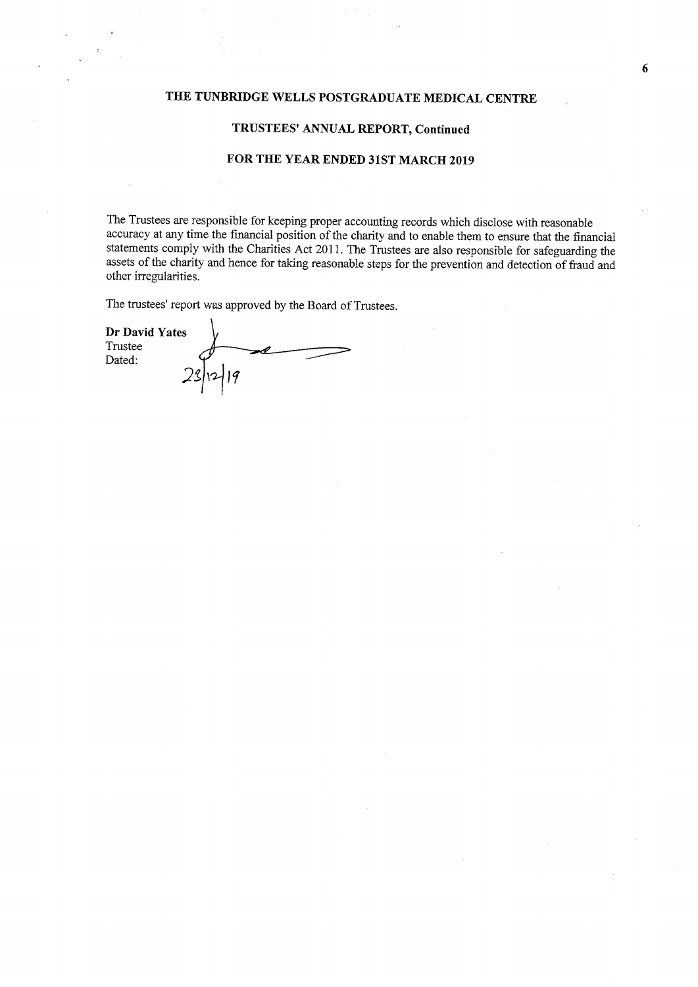### TRUSTEES' ANNUAL REPORT, Continued

### FOR THE YEAR ENDED 31ST MARCH 2019

The Trustees are responsible for keeping proper accounting records which disclose with reasonable accuracy at any time the financial position of the charity and to enable them to ensure that the financial statements comply with the Charities Act 2011. The Trustees are also responsible for safeguarding the assets of the charity and hence for taking reasonable steps for the prevention and detection of fraud and other irregularities.

The trustees' report was approved by the Board of Trustees.

Dr David Yates Trustee Dated:  $2\frac{1}{2}$  let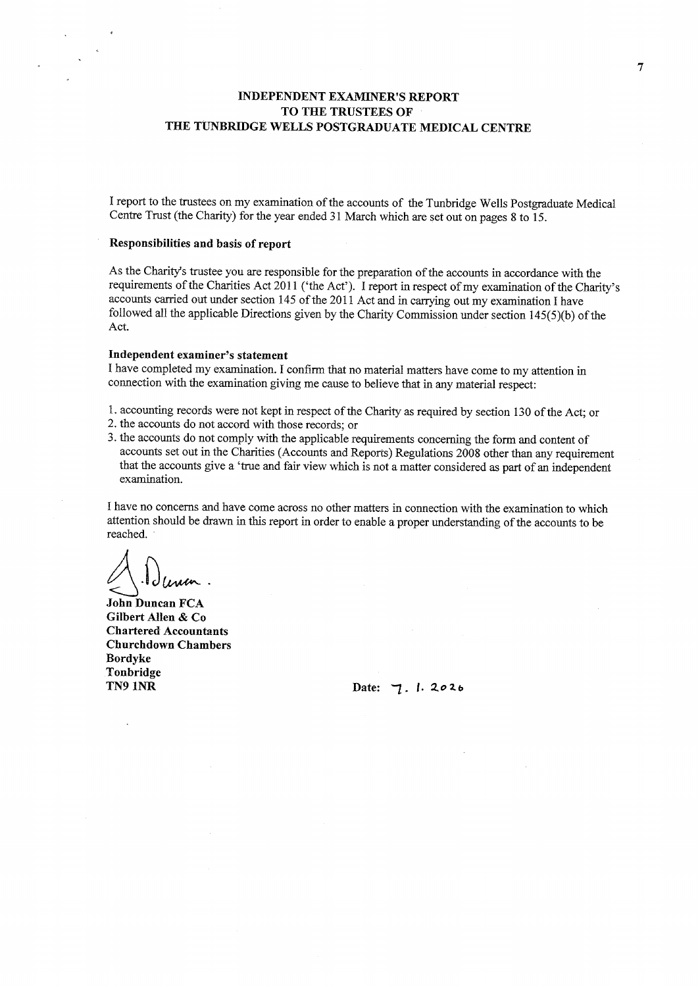# INDEPENDENT EXAMINER'S REPORT TO THE TRUSTEES OF THE TUNBRIDGE WELLS POSTGRADUATE MEDICAL CENTRE

I report to the trustees on my examination of the accounts of the Tunbridge Wells Postgraduate Medical Centre Trust (the Charity) for the year ended 31 March which are set out on pages 8 to 15.

### Responsibilities and basis of report

As the Charity's trustee you are responsible for the preparation of the accounts in accordance with the requirements of the Charities Act 2011 ('the Act'). I report in respect of my examination of the Charity's accounts carried out under section 145 of the 2011 Act and in carrying out my examination I have followed all the applicable Directions given by the Charity Commission under section  $145(5)(b)$  of the Act.

### Independent examiner's statement

I have completed my examination. I confirm that no material matters have come to my attention in connection with the examination giving me cause to believe that in any material respect:

- 1. accounting records were not kept in respect of the Charity as required by section 130 of the Act; or
- 2. the accounts do not accord with those records; or
- 3. the accounts do not comply with the applicable requirements concerning the form and content of accounts set out in the Charities (Accounts and Reports) Regulations 2008 other than any requirement that the accounts give a 'true and fair view which is not a matter considered as part of an independent examination.

I have no concerns and have come across no other matters in connection with the examination to which attention should be drawn in this report in order to enable a proper understanding of the accounts to be reached.

 $\bar{z}$ 

John Duncan FCA. Gilbert Allen & Co Chartered Accountants Churchdown Chambers Bordyke Tonbridge<br>TN9 1NR

Date:  $7.1.2026$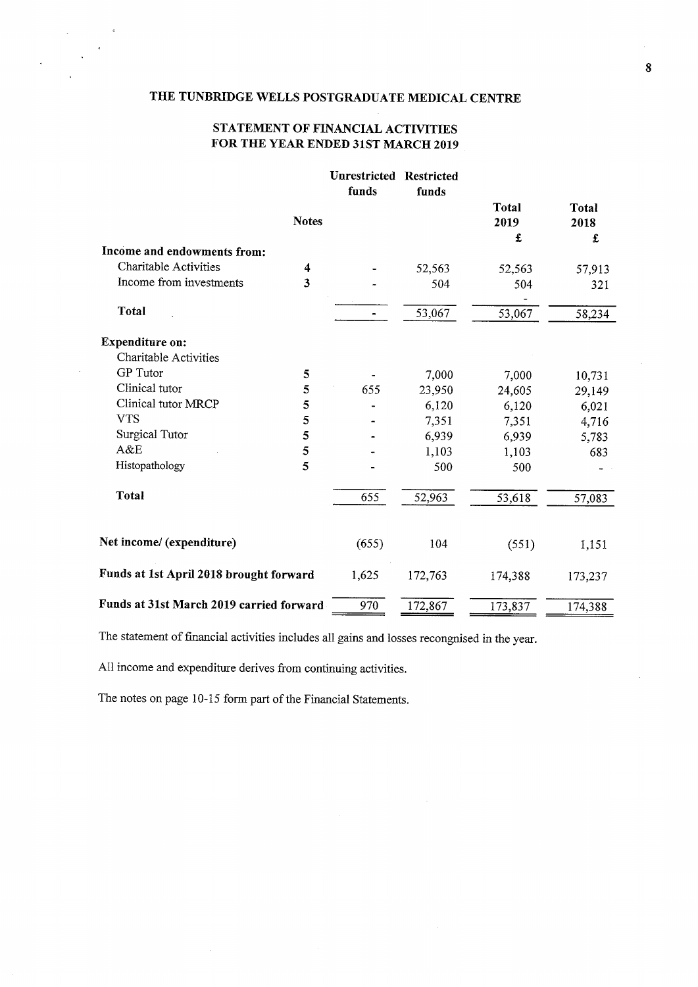# STATEMENT OF FINANCIAL ACTIVITIES FOR THE YEAR ENDED 31ST MARCH 2019

|                                          |              | <b>Unrestricted Restricted</b><br>funds | funds   |                      |                      |
|------------------------------------------|--------------|-----------------------------------------|---------|----------------------|----------------------|
|                                          | <b>Notes</b> |                                         |         | <b>Total</b><br>2019 | <b>Total</b><br>2018 |
| Income and endowments from:              |              |                                         |         | £                    | £                    |
| Charitable Activities                    | 4            |                                         | 52,563  | 52,563               | 57,913               |
| Income from investments                  | 3            |                                         | 504     | 504                  | 321                  |
| <b>Total</b>                             |              |                                         | 53,067  | 53,067               | 58,234               |
| <b>Expenditure on:</b>                   |              |                                         |         |                      |                      |
| Charitable Activities                    |              |                                         |         |                      |                      |
| <b>GP</b> Tutor                          | 5            |                                         | 7,000   | 7,000                | 10,731               |
| Clinical tutor                           | 5            | 655                                     | 23,950  | 24,605               | 29,149               |
| Clinical tutor MRCP                      | 5            |                                         | 6,120   | 6,120                | 6,021                |
| <b>VTS</b>                               | 5            |                                         | 7,351   | 7,351                | 4,716                |
| Surgical Tutor                           | 5            |                                         | 6,939   | 6,939                | 5,783                |
| A&E                                      | 5            |                                         | 1,103   | 1,103                | 683                  |
| Histopathology                           | 5            |                                         | 500     | 500                  |                      |
| Total                                    |              | 655                                     | 52,963  | 53,618               | 57,083               |
| Net income/ (expenditure)                |              | (655)                                   | 104     | (551)                | 1,151                |
| Funds at 1st April 2018 brought forward  |              | 1,625                                   | 172,763 | 174,388              | 173,237              |
| Funds at 31st March 2019 carried forward |              | 970                                     | 172,867 | 173,837              | 174,388              |

The statement of financial activities includes all gains and losses recongnised in the year.

All income and expenditure derives from continuing activities.

The notes on page 10-15 form part of the Financial Statements.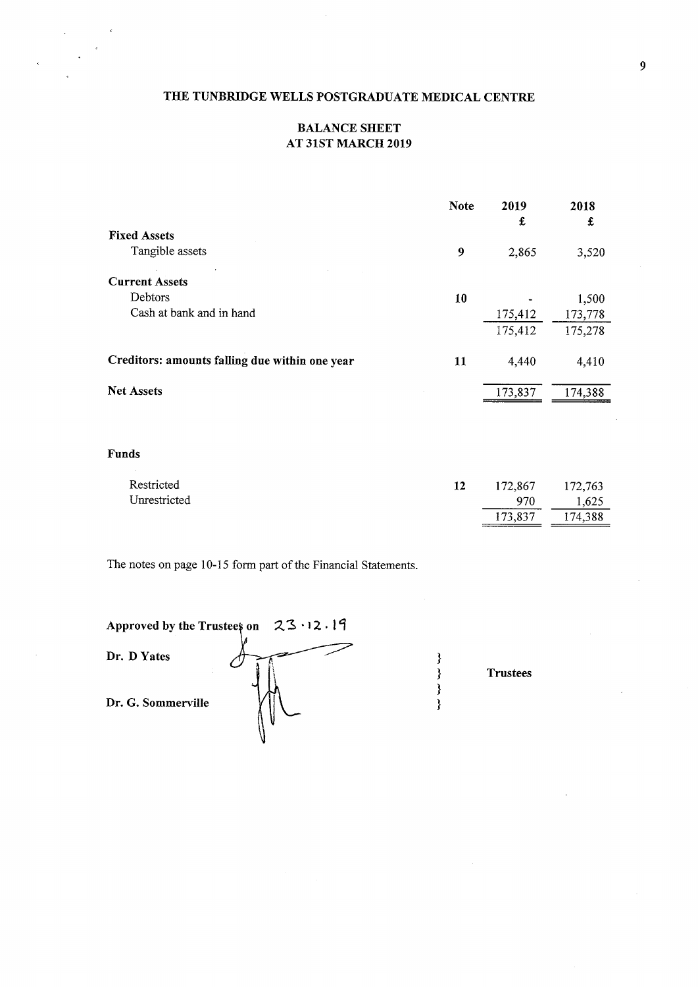# BALANCE SHEET AT 31STMARCH 2019

|                                                | <b>Note</b> | 2019<br>£ | 2018<br>£ |
|------------------------------------------------|-------------|-----------|-----------|
| <b>Fixed Assets</b>                            |             |           |           |
| Tangible assets                                | 9           | 2,865     | 3,520     |
| <b>Current Assets</b>                          |             |           |           |
| Debtors                                        | 10          |           | 1,500     |
| Cash at bank and in hand                       |             | 175,412   | 173,778   |
|                                                |             | 175,412   | 175,278   |
| Creditors: amounts falling due within one year | 11          | 4,440     | 4,410     |
| Net Assets                                     |             | 173,837   | 174,388   |
| Funds                                          |             |           |           |
| Restricted                                     | 12          | 172,867   | 172,763   |
| Unrestricted                                   |             | 970       | 1,625     |
|                                                |             | 173,837   | 174,388   |

Trustees

The notes on page 10-15 form part of the Financial Statements.

|                    | Approved by the Trustees on $23 \cdot 12 \cdot 19$ |  |
|--------------------|----------------------------------------------------|--|
| Dr. D Yates        |                                                    |  |
| Dr. G. Sommerville |                                                    |  |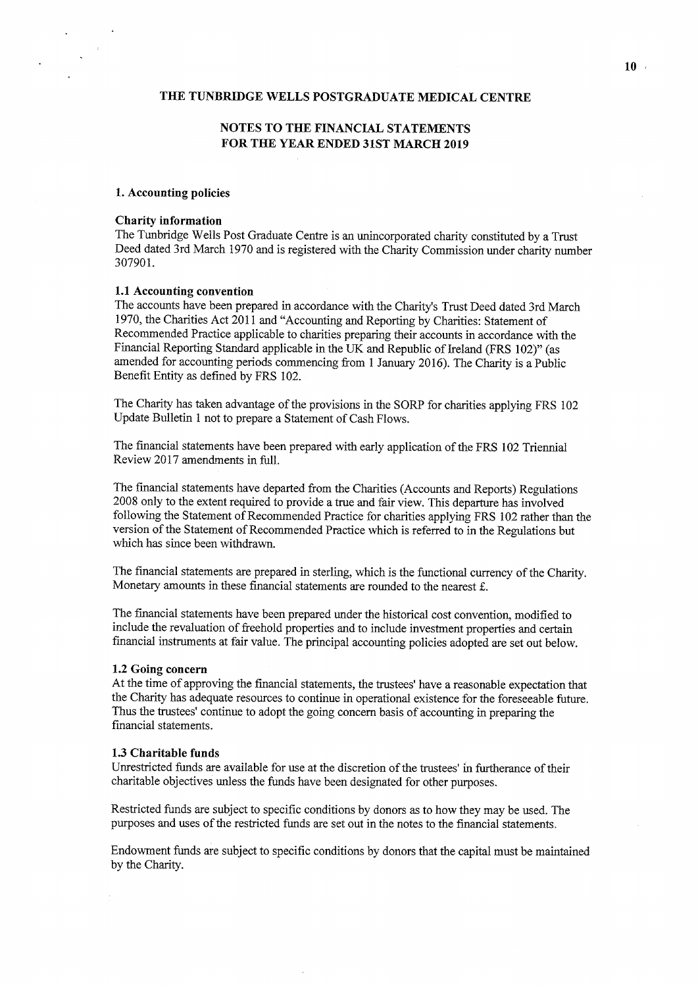# NOTES TO THE FINANCIAL STATEMENTS FOR THE YEAR ENDED 31ST MARCH 2019

### 1.Accounting policies

#### Charity information

The Tunbridge Wells Post Graduate Centre is an unincorporated charity constituted by a Trust Deed dated 3rd March 1970 and is registered with the Charity Commission under charity number 307901.

### 1.1 Accounting convention

The accounts have been prepared in accordance with the Charity's Trust Deed dated 3rd March 1970, the Charities Act 2011 and "Accounting and Reporting by Charities: Statement of Recommended Practice applicable to charities preparing their accounts in accordance with the Financial Reporting Standard applicable in the UK and Republic of Ireland (FRS 102)" (as amended for accounting periods commencing from <sup>1</sup> January 2016). The Charity is a Public Benefit Entity as defined by FRS 102.

The Charity has taken advantage of the provisions in the SORP for charities applying FRS 102 Update Bulletin <sup>1</sup> not to prepare a Statement of Cash Flows.

The financial statements have been prepared with early application of the FRS 102 Triennial Review 2017 amendments in full.

The financial statements have departed from the Charities (Accounts and Reports) Regulations 2008 only to the extent required to provide a true and fair view. This departure has involved following the Statement of Recommended Practice for charities applying FRS 102 rather than the version of the Statement of Recommended Practice which is referred to in the Regulations but which has since been withdrawn.

The financial statements are prepared in sterling, which is the functional currency of the Charity. Monetary amounts in these financial statements are rounded to the nearest  $\pounds$ .

The financial statements have been prepared under the historical cost convention, modified to include the revaluation of freehold properties and to include investment properties and certain financial instruments at fair value. The principal accounting policies adopted are set out below.

#### 1.2 Going concern

At the time of approving the financial statements, the trustees' have a reasonable expectation that the Charity has adequate resources to continue in operational existence for the foreseeable future. Thus the trustees' continue to adopt the going concern basis of accounting in preparing the financial statements.

### 1.3 Charitable funds

Unrestricted funds are available for use at the discretion of the trustees' in furtherance of their charitable objectives unless the funds have been designated for other purposes.

Restricted funds are subject to specific conditions by donors as to how they may be used. The purposes and uses ofthe restricted funds are set out in the notes to the financial statements.

Endowment funds are subject to specific conditions by donors that the capital must be maintained by the Charity.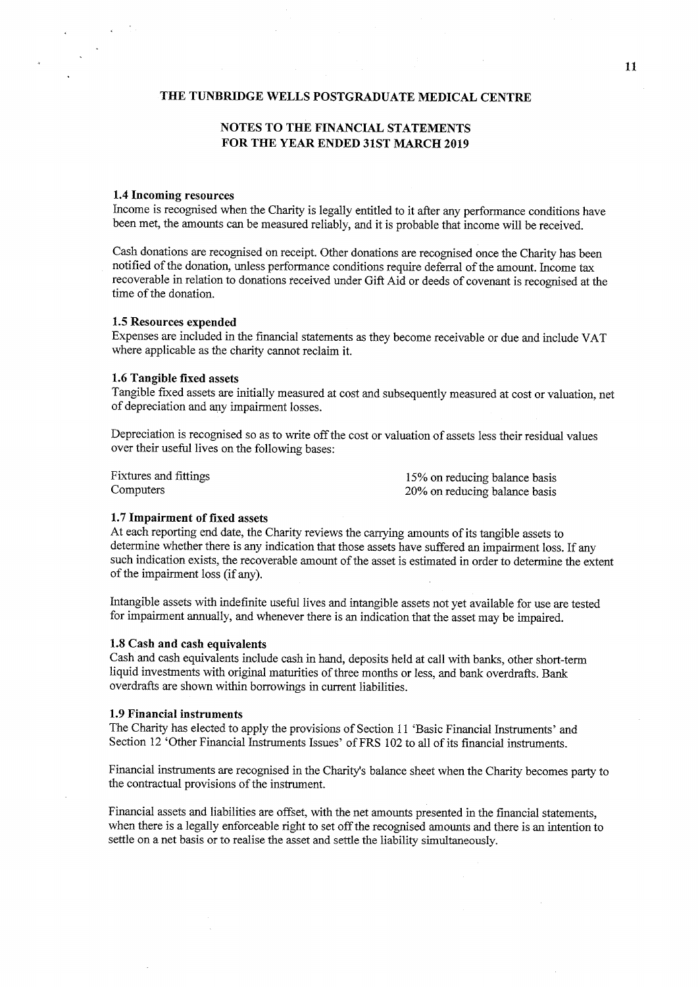# NOTES TO THE FINANCIAL STATEMENTS FOR THE YEAR ENDED 31ST MARCH 2019

### 1.4 Incoming resources

Income is recognised when the Charity is legally entitled to it after any performance conditions have been met, the amounts can be measured reliably, and it is probable that income will be received.

Cash donations are recognised on receipt. Other donations are recognised once the Charity has been notified of the donation, unless performance conditions require deferral of the amount. Income tax recoverable in relation to donations received under Gift Aid or deeds of covenant is recognised at the time of the donation.

### 1.5 Resources expended

Expenses are included in the financial statements as they become receivable or due and include VAT where applicable as the charity cannot reclaim it.

### 1.6 Tangible fixed assets

Tangible fixed assets are initially measured at cost and subsequently measured at cost or valuation, net of depreciation and any impairment losses.

Depreciation is recognised so as to write off the cost or valuation of assets less their residual values over their useful lives on the following bases:

Fixtures and fittings Computers

15% on reducing balance basis 20% on reducing balance basis

# 1.7 Impairment of fixed assets

At each reporting end date, the Charity reviews the carrying amounts of its tangible assets to determine whether there is any indication that those assets have suffered an impairment loss. If any such indication exists, the recoverable amount of the asset is estimated in order to determine the extent of the impairment loss (if any).

Intangible assets with indefinite useful lives and intangible assets not yet available for use are tested for impairment annually, and whenever there is an indication that the asset may be impaired.

### 1.S Cash and cash equivalents

Cash and cash equivalents include cash in hand, deposits held at call with banks, other short-term liquid investments with original maturities of three months or less, and bank overdrafts. Bank overdrafts are shown within borrowings in current liabilities.

#### 1.9 Financial instruments

The Charity has elected to apply the provisions of Section 11 'Basic Financial Instruments' and Section 12 'Other Financial Instruments Issues' of FRS 102 to all of its financial instruments.

Financial instruments are recognised in the Charity's balance sheet when the Charity becomes party to the contractual provisions of the instrument.

Financial assets and liabilities are offset, with the net amounts presented in the financial statements, when there is a legally enforceable right to set off the recognised amounts and there is an intention to settle on a net basis or to realise the asset and settle the liability simultaneously.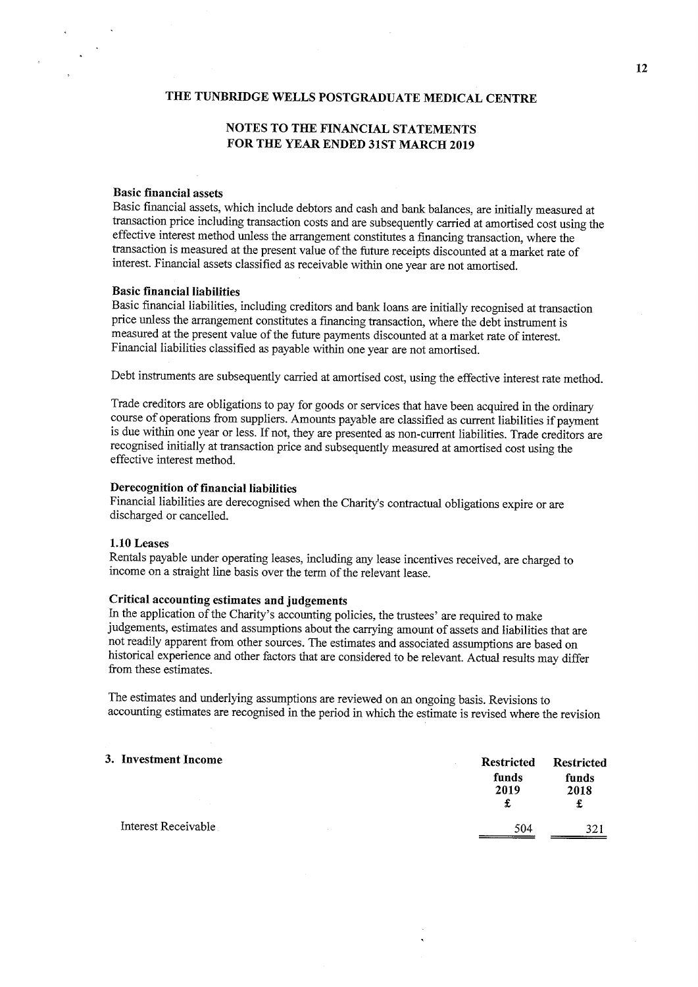# NOTES TO THE FINANCIAL STATEMENTS FOR THE YEAR ENDED 31ST MARCH 2019

### Basic financial assets

Basic financial assets, which include debtors and cash and bank balances, are initially measured at transaction price including transaction costs and are subsequently carried at amortised cost using the effective interest method unless the arrangement constitutes a financing transaction, where the transaction is measured at the present value of the future receipts discounted at a market rate of interest. Financial assets classified as receivable within one year are not amortised.

### Basic financial liabilities

Basic financial liabilities, including creditors and bank loans are initially recognised at transaction price unless the arrangement constitutes a financing transaction, where the debt instrument is measured at the present value of the future payments discounted at a market rate of interest. Financial liabilities classified as payable within one year are not amortised.

Debt instruments are subsequently carried at amortised cost, using the effective interest rate method.

Trade creditors are obligations to pay for goods or services that have been acquired in the ordinary course of operations from suppliers. Amounts payable are classified as current liabilities if payment is due within one year or less. If not, they are presented as non-current liabilities. Trade creditors are recognised initially at transaction price and subsequently measured at amortised cost using the effective interest method.

#### Derecognition of financial liabilities

Financial liabilities are derecognised when the Charity's contractual obligations expire or are discharged or cancelled.

#### 1.10 Leases

Rentals payable under operating leases, including any lease incentives received, are charged to income on a straight line basis over the term of the relevant lease.

### Critical accounting estimates and judgements

In the application of the Charity's accounting policies, the trustees' are required to make judgements, estimates and assumptions about the carrying amount of assets and liabilities that are not readily apparent from other sources. The estimates and associated assumptions are based on historical experience and other factors that are considered to be relevant. Actual results may differ from these estimates.

The estimates and underlying assumptions are reviewed on an ongoing basis. Revisions to accounting estimates are recognised in the period in which the estimate is revised where the revision

### 3. Investment Income

|                                     | restricted<br>funds<br>2019<br>£ | Restricted<br>funds<br>2018<br>£ |  |
|-------------------------------------|----------------------------------|----------------------------------|--|
| Interest Receivable<br>$\mathbf{r}$ | 504                              | 321                              |  |
|                                     |                                  |                                  |  |

 $R_{\text{reduction}} = R_{\text{reduction}}$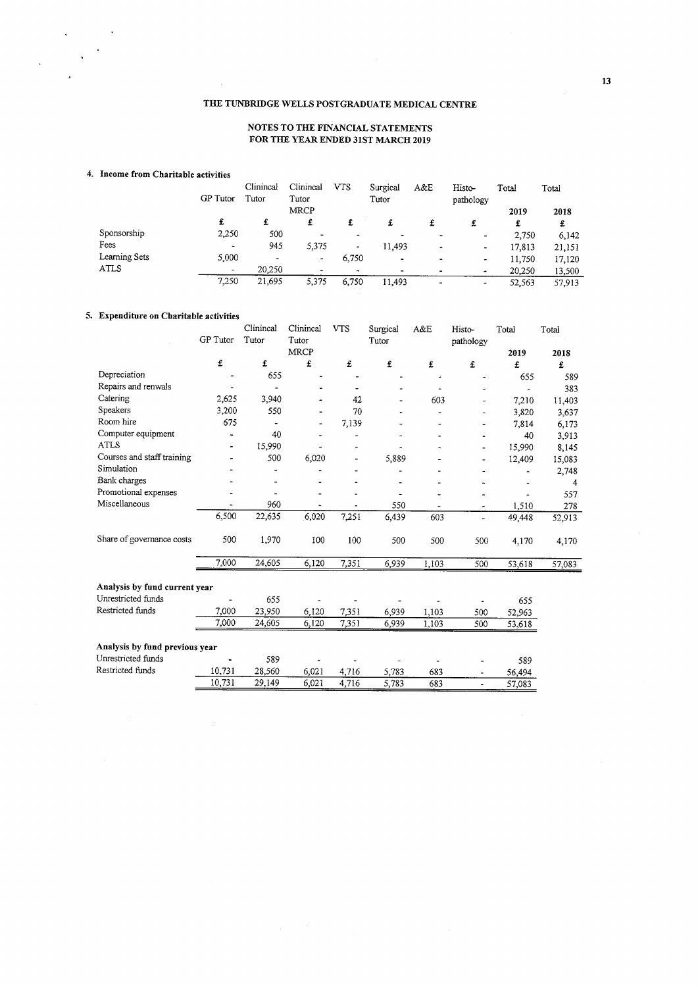### NOTES TO THE FINANCIAL STATEMENTS FOR THE YEAR ENDED 31ST MARCH 2019

### 4. Income from Charitable activities

 $\bar{z}$ 

|               | GP Tutor | Clinincal<br>Tutor       | Clinincal<br>Tutor | <b>VTS</b> | Surgical<br>Tutor | A&E | Histo-<br>pathology      | Total  | Total  |
|---------------|----------|--------------------------|--------------------|------------|-------------------|-----|--------------------------|--------|--------|
|               |          |                          | MRCP               |            |                   |     |                          | 2019   | 2018   |
|               | £        | £                        | £                  | £          |                   |     | £                        | £      | £      |
| Sponsorship   | 2,250    | 500                      | ۰                  | ۰          |                   |     | ۰                        | 2,750  | 6,142  |
| Fees          | ۰        | 945                      | 5,375              | ۰          | 11.493            |     |                          | 17,813 | 21,151 |
| Learning Sets | 5,000    | $\overline{\phantom{0}}$ | ٠                  | 6,750      | $\bullet$         |     | $\overline{\phantom{a}}$ | 11,750 | 17,120 |
| <b>ATLS</b>   |          | 20,250                   |                    |            |                   |     | ۰                        | 20,250 | 13,500 |
|               | 7,250    | 21,695                   | 5,375              | 6.750      | 11.493            |     | $\bullet$                | 52.563 | 57,913 |

### 5. Expenditure on Charitable activities

|                                |                 | Clinincal                    | Clinincal   | <b>VTS</b> | Surgical | A&E   | Histo-                   | Total  | Total  |
|--------------------------------|-----------------|------------------------------|-------------|------------|----------|-------|--------------------------|--------|--------|
|                                | <b>GP</b> Tutor | Tutor                        | Tutor       |            | Tutor    |       | pathology                |        |        |
|                                |                 |                              | <b>MRCP</b> |            |          |       |                          | 2019   | 2018   |
|                                | £               | £                            | £           | £          | £        | £     | £                        | £      | £      |
| Depreciation                   |                 | 655                          |             |            |          | ٠     |                          | 655    | 589    |
| Repairs and renwals            |                 |                              |             |            |          |       |                          |        | 383    |
| Catering                       | 2,625           | 3,940                        |             | 42         |          | 603   | -                        | 7,210  | 11,403 |
| Speakers                       | 3,200           | 550                          |             | 70         |          | ٠     |                          | 3,820  | 3,637  |
| Room hire                      | 675             | $\qquad \qquad \blacksquare$ |             | 7,139      |          |       |                          | 7,814  | 6,173  |
| Computer equipment             | ٠               | 40                           |             |            |          |       |                          | 40     | 3,913  |
| <b>ATLS</b>                    |                 | 15,990                       |             |            |          |       |                          | 15,990 | 8,145  |
| Courses and staff training     |                 | 500                          | 6,020       |            | 5,889    |       |                          | 12,409 | 15,083 |
| Simulation                     |                 |                              |             |            |          |       |                          |        | 2,748  |
| Bank charges                   |                 |                              |             |            |          |       |                          |        | 4      |
| Promotional expenses           |                 |                              |             |            |          |       |                          |        | 557    |
| Miscellaneous                  |                 | 960                          |             |            | 550      |       | $\tilde{\phantom{a}}$    | 1,510  | 278    |
|                                | 6,500           | 22,635                       | 6,020       | 7,251      | 6,439    | 603   | $\overline{\phantom{0}}$ | 49,448 | 52,913 |
| Share of governance costs      | 500             | 1,970                        | 100         | 100        | 500      | 500   | 500                      | 4,170  | 4,170  |
|                                | 7,000           | 24,605                       | 6,120       | 7,351      | 6,939    | 1,103 | 500                      | 53,618 | 57,083 |
| Analysis by fund current year  |                 |                              |             |            |          |       |                          |        |        |
| Unrestricted funds             |                 | 655                          |             |            |          |       |                          | 655    |        |
| Restricted funds               | 7,000           | 23,950                       | 6,120       | 7,351      | 6,939    | 1,103 | 500                      | 52,963 |        |
|                                | 7,000           | 24,605                       | 6,120       | 7,351      | 6,939    | 1,103 | 500                      | 53,618 |        |
|                                |                 |                              |             |            |          |       |                          |        |        |
| Analysis by fund previous year |                 |                              |             |            |          |       |                          |        |        |
| Unrestricted funds             |                 | 589                          |             |            |          |       |                          | 589    |        |
| Restricted funds               | 10,731          | 28,560                       | 6,021       | 4.716      | 5,783    | 683   | $\overline{\phantom{a}}$ | 56,494 |        |
|                                | 10,731          | 29,149                       | 6,021       | 4,716      | 5,783    | 683   | $\blacksquare$           | 57,083 |        |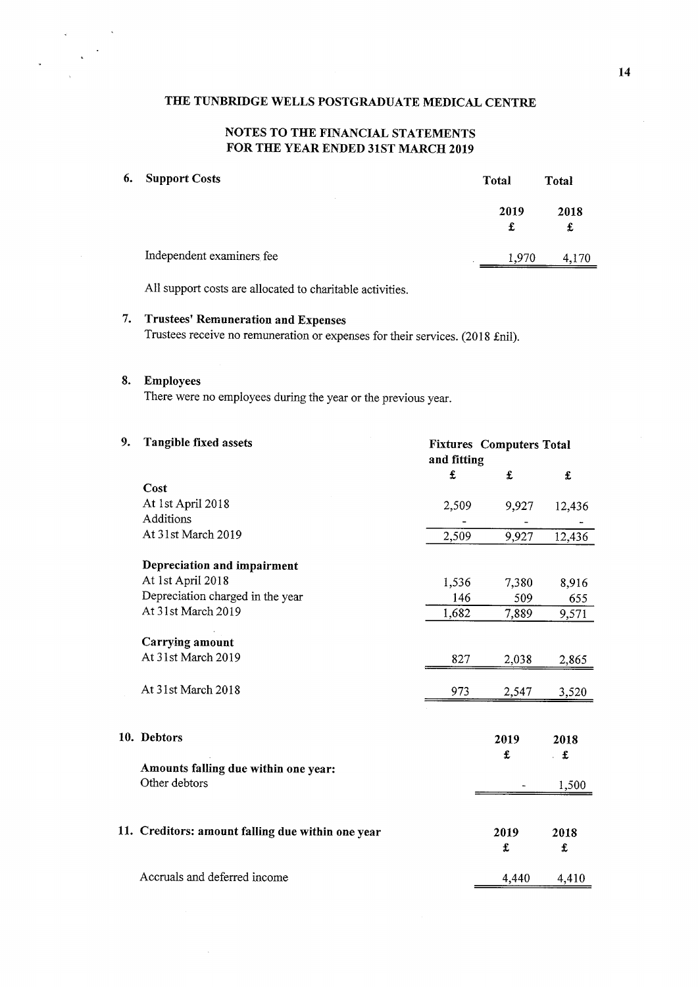# NOTES TO THE FINANCIAL STATEMENTS FOR THE YEAR ENDED 31ST MARCH 2019

# 6. Support Costs Total Total Total Total

 $\mathbf{r}$ 

| 2019<br>£ | 2018<br>£ |
|-----------|-----------|
| 1,970     | 4,170     |
|           |           |

All support costs are allocated to charitable activities.

# 7. Trustees' Remuneration and Expenses

Trustees receive no remuneration or expenses for their services. (2018 £nil).

### S. Employees

There were no employees during the year or the previous year.

| 9. | Tangible fixed assets                                 |                      | <b>Fixtures Computers Total</b><br>and fitting |                      |  |  |  |
|----|-------------------------------------------------------|----------------------|------------------------------------------------|----------------------|--|--|--|
|    |                                                       | $\pmb{\mathfrak{L}}$ | £                                              | $\pmb{\mathfrak{L}}$ |  |  |  |
|    | Cost                                                  |                      |                                                |                      |  |  |  |
|    | At 1st April 2018                                     | 2,509                | 9,927                                          | 12,436               |  |  |  |
|    | <b>Additions</b>                                      |                      |                                                |                      |  |  |  |
|    | At 31st March 2019                                    | 2,509                | 9,927                                          | 12,436               |  |  |  |
|    | Depreciation and impairment                           |                      |                                                |                      |  |  |  |
|    | At 1st April 2018                                     | 1,536                | 7,380                                          | 8,916                |  |  |  |
|    | Depreciation charged in the year                      | 146                  | 509                                            | 655                  |  |  |  |
|    | At 31st March 2019                                    | 1,682                | 7,889                                          | 9,571                |  |  |  |
|    | Carrying amount                                       |                      |                                                |                      |  |  |  |
|    | At 31st March 2019                                    | 827                  | 2,038                                          | 2,865                |  |  |  |
|    | At 31st March 2018                                    | 973                  | 2,547                                          | 3,520                |  |  |  |
|    | 10. Debtors                                           |                      | 2019                                           | 2018                 |  |  |  |
|    |                                                       |                      | £                                              | . £                  |  |  |  |
|    | Amounts falling due within one year:<br>Other debtors |                      |                                                | 1,500                |  |  |  |
|    |                                                       |                      |                                                |                      |  |  |  |
|    | 11. Creditors: amount falling due within one year     |                      | 2019                                           | 2018                 |  |  |  |
|    |                                                       |                      | £                                              | ${\bf f}$            |  |  |  |
|    | Accruals and deferred income                          |                      | 4,440                                          | 4,410                |  |  |  |